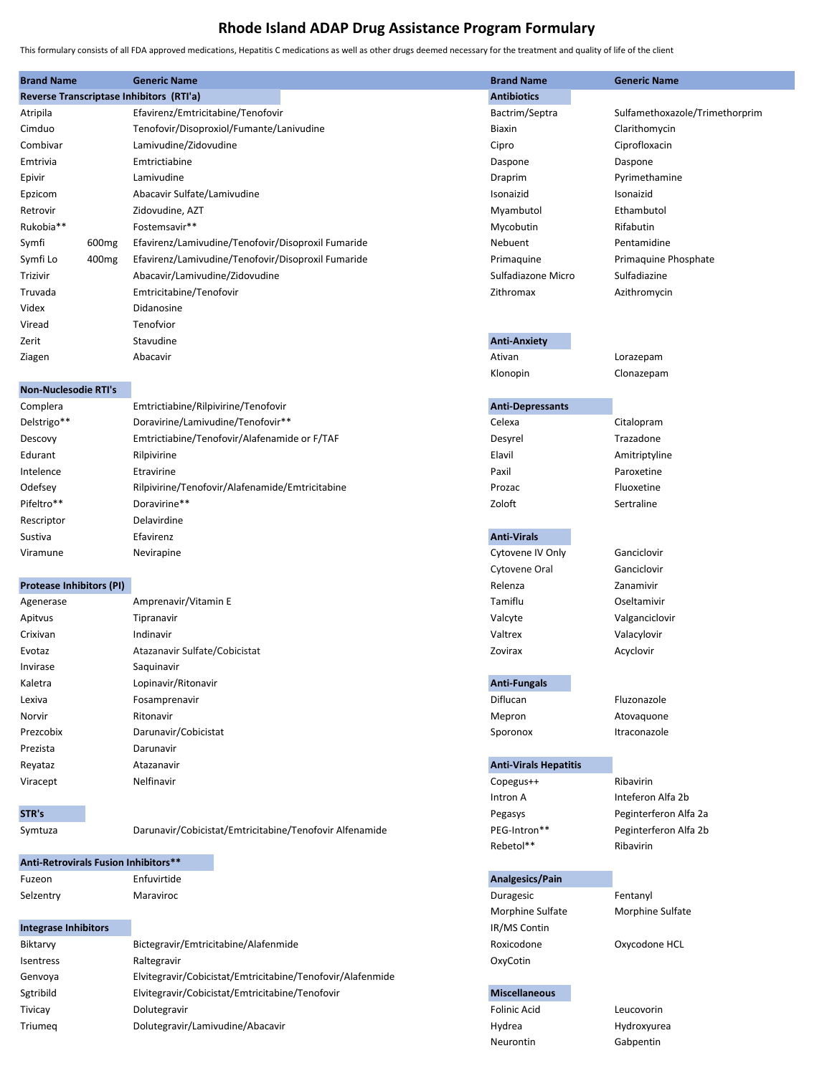## Rhode Island ADAP Drug Assistance Program Formulary

This formulary consists of all FDA approved medications, Hepatitis C medications as well as other drugs deemed necessary for the treatment and quality of life of the client

| <b>Brand Name</b>                    |                   | <b>Generic Name</b><br>Reverse Transcriptase Inhibitors (RTI'a) | <b>Brand Name</b><br><b>Antibiotics</b> | <b>Generic Name</b>            |
|--------------------------------------|-------------------|-----------------------------------------------------------------|-----------------------------------------|--------------------------------|
| Atripila                             |                   | Efavirenz/Emtricitabine/Tenofovir                               | Bactrim/Septra                          | Sulfamethoxazole/Trimethorprim |
| Cimduo                               |                   | Tenofovir/Disoproxiol/Fumante/Lanivudine                        | <b>Biaxin</b>                           | Clarithomycin                  |
| Combivar                             |                   | Lamivudine/Zidovudine                                           | Cipro                                   | Ciprofloxacin                  |
| Emtrivia                             |                   | Emtrictiabine                                                   | Daspone                                 | Daspone                        |
| Epivir                               |                   | Lamivudine                                                      | Draprim                                 | Pyrimethamine                  |
| Epzicom                              |                   | Abacavir Sulfate/Lamivudine                                     | Isonaizid                               | Isonaizid                      |
| Retrovir                             |                   | Zidovudine, AZT                                                 | Myambutol                               | Ethambutol                     |
| Rukobia**                            |                   | Fostemsavir**                                                   | Mycobutin                               | Rifabutin                      |
| Symfi                                | 600 <sub>mg</sub> | Efavirenz/Lamivudine/Tenofovir/Disoproxil Fumaride              | Nebuent                                 | Pentamidine                    |
| Symfi Lo                             | 400 <sub>mg</sub> | Efavirenz/Lamivudine/Tenofovir/Disoproxil Fumaride              | Primaquine                              | Primaquine Phosphate           |
| Trizivir                             |                   | Abacavir/Lamivudine/Zidovudine                                  | Sulfadiazone Micro                      | Sulfadiazine                   |
| Truvada                              |                   | Emtricitabine/Tenofovir                                         | Zithromax                               | Azithromycin                   |
| Videx                                |                   | Didanosine                                                      |                                         |                                |
| Viread                               |                   | Tenofvior                                                       |                                         |                                |
| Zerit                                |                   | Stavudine                                                       | <b>Anti-Anxiety</b>                     |                                |
| Ziagen                               |                   | Abacavir                                                        | Ativan                                  | Lorazepam                      |
|                                      |                   |                                                                 | Klonopin                                | Clonazepam                     |
| <b>Non-Nuclesodie RTI's</b>          |                   |                                                                 |                                         |                                |
| Complera                             |                   | Emtrictiabine/Rilpivirine/Tenofovir                             | <b>Anti-Depressants</b>                 |                                |
| Delstrigo**                          |                   | Doravirine/Lamivudine/Tenofovir**                               | Celexa                                  | Citalopram                     |
| Descovy                              |                   | Emtrictiabine/Tenofovir/Alafenamide or F/TAF                    | Desyrel                                 | Trazadone                      |
| Edurant                              |                   | Rilpivirine                                                     | Elavil                                  | Amitriptyline                  |
| Intelence                            |                   | Etravirine                                                      | Paxil                                   | Paroxetine                     |
| Odefsey                              |                   | Rilpivirine/Tenofovir/Alafenamide/Emtricitabine                 | Prozac                                  | Fluoxetine                     |
| Pifeltro**                           |                   | Doravirine**                                                    | Zoloft                                  | Sertraline                     |
| Rescriptor                           |                   | Delavirdine                                                     |                                         |                                |
| Sustiva                              |                   | Efavirenz                                                       | <b>Anti-Virals</b>                      |                                |
| Viramune                             |                   | Nevirapine                                                      | Cytovene IV Only                        | Ganciclovir                    |
|                                      |                   |                                                                 | Cytovene Oral                           | Ganciclovir                    |
| <b>Protease Inhibitors (PI)</b>      |                   |                                                                 | Relenza                                 | Zanamivir                      |
| Agenerase                            |                   | Amprenavir/Vitamin E                                            | Tamiflu                                 | Oseltamivir                    |
| Apitvus                              |                   | Tipranavir                                                      | Valcyte                                 | Valganciclovir                 |
| Crixivan                             |                   | Indinavir                                                       | Valtrex                                 | Valacylovir                    |
| Evotaz                               |                   | Atazanavir Sulfate/Cobicistat                                   | Zovirax                                 | Acyclovir                      |
| Invirase                             |                   | Saquinavir                                                      |                                         |                                |
| Kaletra                              |                   | Lopinavir/Ritonavir                                             | <b>Anti-Fungals</b>                     |                                |
| Lexiva                               |                   | Fosamprenavir                                                   | Diflucan                                | Fluzonazole                    |
| Norvir<br>Prezcobix                  |                   | Ritonavir<br>Darunavir/Cobicistat                               | Mepron<br>Sporonox                      | Atovaquone<br>Itraconazole     |
| Prezista                             |                   | Darunavir                                                       |                                         |                                |
| Reyataz                              |                   | Atazanavir                                                      | <b>Anti-Virals Hepatitis</b>            |                                |
| Viracept                             |                   | Nelfinavir                                                      | Copegus++                               | Ribavirin                      |
|                                      |                   |                                                                 | Intron A                                | Inteferon Alfa 2b              |
| STR's                                |                   |                                                                 | Pegasys                                 | Peginterferon Alfa 2a          |
| Symtuza                              |                   | Darunavir/Cobicistat/Emtricitabine/Tenofovir Alfenamide         | PEG-Intron**                            | Peginterferon Alfa 2b          |
|                                      |                   |                                                                 | Rebetol**                               | Ribavirin                      |
| Anti-Retrovirals Fusion Inhibitors** |                   |                                                                 |                                         |                                |
| Fuzeon                               |                   | Enfuvirtide                                                     | Analgesics/Pain                         |                                |
| Selzentry                            |                   | Maraviroc                                                       | Duragesic                               | Fentanyl                       |
|                                      |                   |                                                                 | Morphine Sulfate                        | Morphine Sulfate               |
| <b>Integrase Inhibitors</b>          |                   |                                                                 | IR/MS Contin                            |                                |
| Biktarvy                             |                   | Bictegravir/Emtricitabine/Alafenmide                            | Roxicodone                              | Oxycodone HCL                  |
| Isentress                            |                   | Raltegravir                                                     | OxyCotin                                |                                |
| Genvoya                              |                   | Elvitegravir/Cobicistat/Emtricitabine/Tenofovir/Alafenmide      |                                         |                                |

Sgtribild

Tivicay

Triumeq

Elvitegravir/Cobicistat/Emtricitabine/Tenofovir

Dolutegravir/Lamivudine/Abacavir

Dolutegravir

## **Miscellaneous**

| <b>Folinic Acid</b> |  |
|---------------------|--|
| Hydrea              |  |
| Neurontin           |  |

Leucovorin Hydroxyurea Gabpentin